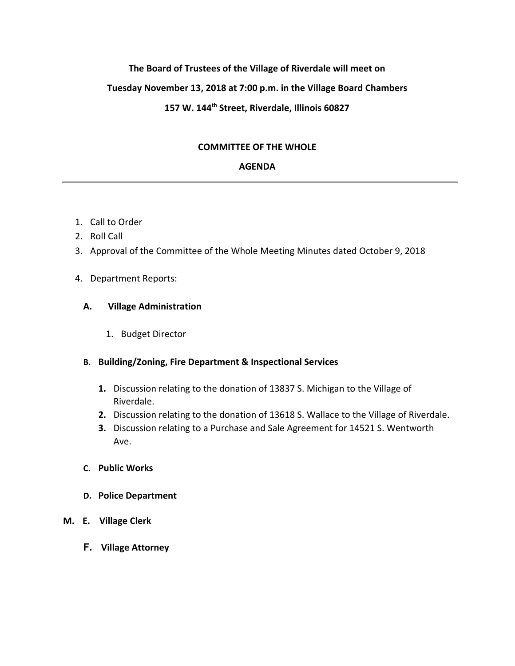# **The Board of Trustees of the Village of Riverdale will meet on**

## **Tuesday November 13, 2018 at 7:00 p.m. in the Village Board Chambers**

# **157 W. 144th Street, Riverdale, Illinois 60827**

## **COMMITTEE OF THE WHOLE**

## **AGENDA**

- 1. Call to Order
- 2. Roll Call
- 3. Approval of the Committee of the Whole Meeting Minutes dated October 9, 2018

#### 4. Department Reports:

#### **A. Village Administration**

1. Budget Director

## **B. Building/Zoning, Fire Department & Inspectional Services**

- **1.** Discussion relating to the donation of 13837 S. Michigan to the Village of Riverdale.
- **2.** Discussion relating to the donation of 13618 S. Wallace to the Village of Riverdale.
- **3.** Discussion relating to a Purchase and Sale Agreement for 14521 S. Wentworth Ave.

## **C. Public Works**

**D. Police Department**

## **M. E. Village Clerk**

**F. Village Attorney**